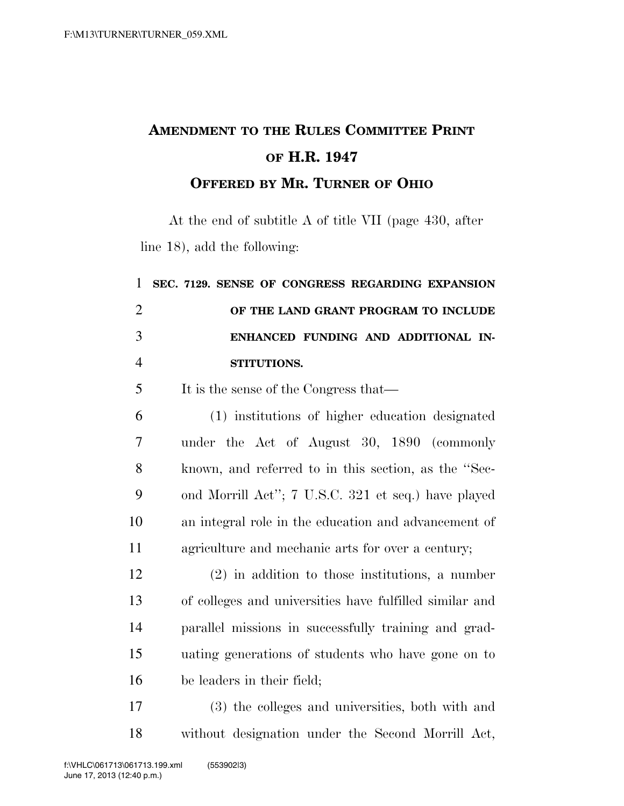## **AMENDMENT TO THE RULES COMMITTEE PRINT OF H.R. 1947 OFFERED BY MR. TURNER OF OHIO**

At the end of subtitle A of title VII (page 430, after line 18), add the following:

| $\mathbf{1}$   | SEC. 7129. SENSE OF CONGRESS REGARDING EXPANSION        |
|----------------|---------------------------------------------------------|
| $\overline{2}$ | OF THE LAND GRANT PROGRAM TO INCLUDE                    |
| 3              | ENHANCED FUNDING AND ADDITIONAL IN-                     |
| $\overline{4}$ | STITUTIONS.                                             |
| 5              | It is the sense of the Congress that—                   |
| 6              | (1) institutions of higher education designated         |
| 7              | under the Act of August 30, 1890 (commonly              |
| 8              | known, and referred to in this section, as the "Sec-    |
| 9              | ond Morrill Act"; 7 U.S.C. 321 et seq.) have played     |
| 10             | an integral role in the education and advancement of    |
| 11             | agriculture and mechanic arts for over a century;       |
| 12             | $(2)$ in addition to those institutions, a number       |
| 13             | of colleges and universities have fulfilled similar and |
| 14             | parallel missions in successfully training and grad-    |
| 15             | uating generations of students who have gone on to      |
| 16             | be leaders in their field;                              |
| 17             | (3) the colleges and universities both with and         |

 (3) the colleges and universities, both with and without designation under the Second Morrill Act,